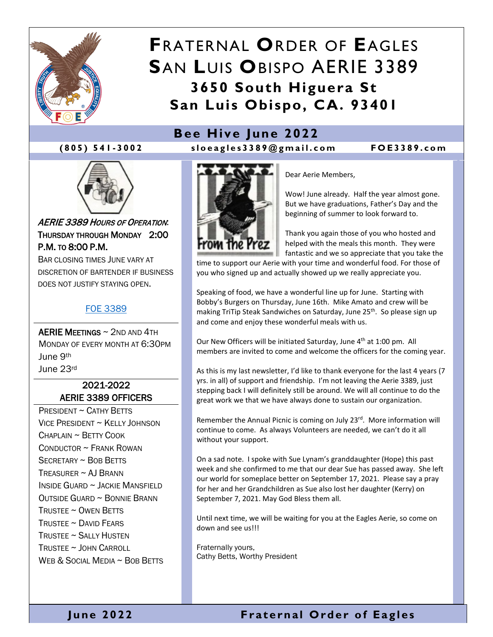

## **F**RATERNAL **O**RDER OF **E**AGLES **S**AN **L**UIS **O**BISPO AERIE 3389 **3650 South Higuera St San Luis Obispo, CA. 93401**



**(805) 541 - 300 2 sloeagles3389@gmail.co m FOE3389.com**



AERIE 3389 HOURS OF OPERATION: THURSDAY THROUGH MONDAY 2:00 P.M. TO 8:00 P.M.

BAR CLOSING TIMES JUNE VARY AT DISCRETION OF BARTENDER IF BUSINESS DOES NOT JUSTIFY STAYING OPEN.

#### [FOE 3389](https://foe3389.com/)

AERIE MEETINGS ~ 2ND AND 4TH MONDAY OF EVERY MONTH AT 6:30PM June 9th June 23rd

#### 2021-2022 AERIE 3389 OFFICERS

PRESIDENT ~ CATHY BETTS VICE PRESIDENT ~ KELLY JOHNSON  $CHAPI$  AIN  $\sim$  BFTTY COOK CONDUCTOR ~ FRANK ROWAN SECRETARY ~ BOB BETTS TREASURER  $\sim$  AJ BRANN INSIDE GUARD ~ JACKIE MANSFIELD OUTSIDE GUARD ~ BONNIE BRANN TRUSTEE ~ OWEN BETTS TRUSTEE  $\sim$  David Fears TRUSTEE ~ SALLY HUSTEN TRUSTEE ~ JOHN CARROLL WEB & SOCIAL MEDIA ~ BOB BETTS



Dear Aerie Members,

Wow! June already. Half the year almost gone. But we have graduations, Father's Day and the beginning of summer to look forward to.

Thank you again those of you who hosted and helped with the meals this month. They were fantastic and we so appreciate that you take the

time to support our Aerie with your time and wonderful food. For those of you who signed up and actually showed up we really appreciate you.

Speaking of food, we have a wonderful line up for June. Starting with Bobby's Burgers on Thursday, June 16th. Mike Amato and crew will be making TriTip Steak Sandwiches on Saturday, June 25<sup>th</sup>. So please sign up and come and enjoy these wonderful meals with us.

Our New Officers will be initiated Saturday, June 4<sup>th</sup> at 1:00 pm. All members are invited to come and welcome the officers for the coming year.

As this is my last newsletter, I'd like to thank everyone for the last 4 years (7 yrs. in all) of support and friendship. I'm not leaving the Aerie 3389, just stepping back I will definitely still be around. We will all continue to do the great work we that we have always done to sustain our organization.

Remember the Annual Picnic is coming on July 23rd. More information will continue to come. As always Volunteers are needed, we can't do it all without your support.

On a sad note. I spoke with Sue Lynam's granddaughter (Hope) this past week and she confirmed to me that our dear Sue has passed away. She left our world for someplace better on September 17, 2021. Please say a pray for her and her Grandchildren as Sue also lost her daughter (Kerry) on September 7, 2021. May God Bless them all.

Until next time, we will be waiting for you at the Eagles Aerie, so come on down and see us!!!

Fraternally yours, Cathy Betts, Worthy President

#### **June 2022 Fraternal Order of Eagles**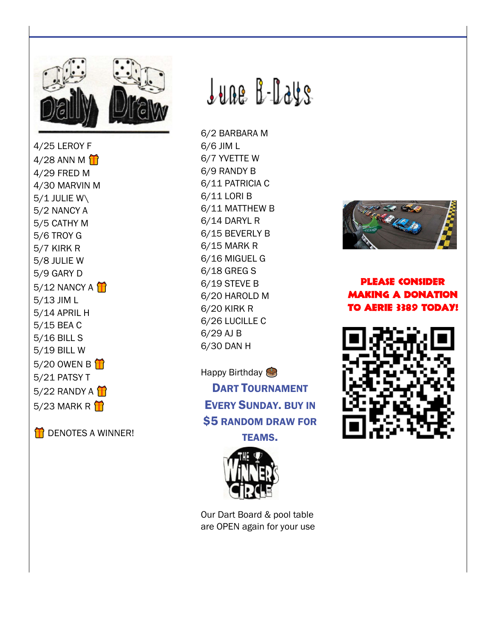

4/25 LEROY F  $4/28$  ANN M 4/29 FRED M 4/30 MARVIN M  $5/1$  JULIE W\ 5/2 NANCY A 5/5 CATHY M 5/6 TROY G 5/7 KIRK R 5/8 JULIE W 5/9 GARY D  $5/12$  NANCY A  $\mathbf{\hat{H}}$ 5/13 JIM L 5/14 APRIL H 5/15 BEA C 5/16 BILL S 5/19 BILL W 5/20 OWEN B 5/21 PATSY T 5/22 RANDY A  $\hat{H}$ 5/23 MARK R $\mathbf{\hat{}}$ 

**T** DENOTES A WINNER!

# <u>June B-Days</u>

6/2 BARBARA M 6/6 JIM L 6/7 YVETTE W 6/9 RANDY B 6/11 PATRICIA C 6/11 LORI B 6/11 MATTHEW B 6/14 DARYL R 6/15 BEVERLY B 6/15 MARK R 6/16 MIGUEL G 6/18 GREG S 6/19 STEVE B 6/20 HAROLD M 6/20 KIRK R 6/26 LUCILLE C 6/29 AJ B 6/30 DAN H

Happy Birthday **DART TOURNAMENT EVERY SUNDAY, BUY IN \$5 RANDOM DRAW FOR TEAMS.** 



Our Dart Board & pool table are OPEN again for your use



**PLEASE CONSIDER MAKING A DONATION TO AERIE 3389 TODAY!** 

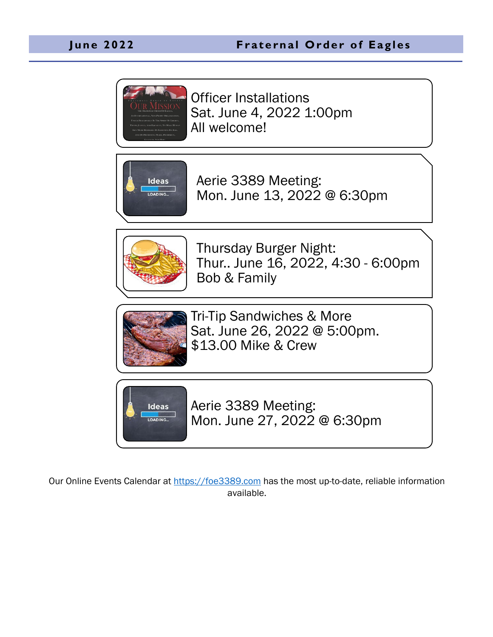

Officer Installations Sat. June 4, 2022 1:00pm All welcome!



Aerie 3389 Meeting: Mon. June 13, 2022 @ 6:30pm



Thursday Burger Night: Thur.. June 16, 2022, 4:30 - 6:00pm Bob & Family



Tri-Tip Sandwiches & More Sat. June 26, 2022 @ 5:00pm. \$13.00 Mike & Crew



Aerie 3389 Meeting: Mon. June 27, 2022 @ 6:30pm

Our Online Events Calendar at [https://foe3389.com](https://foe3389.com/?post_type=tribe_events) has the most up-to-date, reliable information available.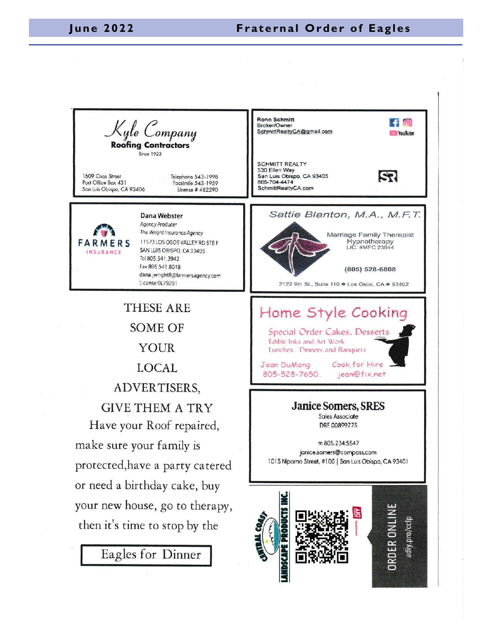### **June 2022 Fraternal Order of Eagles**